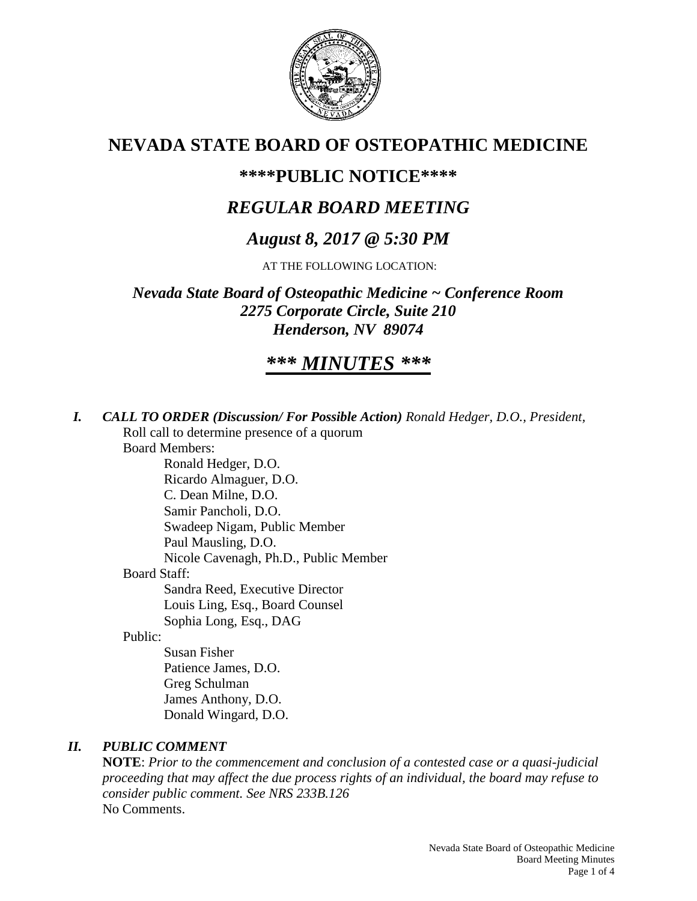

# **NEVADA STATE BOARD OF OSTEOPATHIC MEDICINE**

## **\*\*\*\*PUBLIC NOTICE\*\*\*\***

# *REGULAR BOARD MEETING*

# *August 8, 2017 @ 5:30 PM*

AT THE FOLLOWING LOCATION:

*Nevada State Board of Osteopathic Medicine ~ Conference Room 2275 Corporate Circle, Suite 210 Henderson, NV 89074*

# *\*\*\* MINUTES \*\*\**

*I. CALL TO ORDER (Discussion/ For Possible Action) Ronald Hedger, D.O., President,* Roll call to determine presence of a quorum Board Members: Ronald Hedger, D.O. Ricardo Almaguer, D.O. C. Dean Milne, D.O. Samir Pancholi, D.O. Swadeep Nigam, Public Member Paul Mausling, D.O. Nicole Cavenagh, Ph.D., Public Member Board Staff: Sandra Reed, Executive Director Louis Ling, Esq., Board Counsel Sophia Long, Esq., DAG Public:

> Susan Fisher Patience James, D.O. Greg Schulman James Anthony, D.O. Donald Wingard, D.O.

## *II. PUBLIC COMMENT*

**NOTE**: *Prior to the commencement and conclusion of a contested case or a quasi-judicial proceeding that may affect the due process rights of an individual, the board may refuse to consider public comment. See NRS 233B.126* No Comments.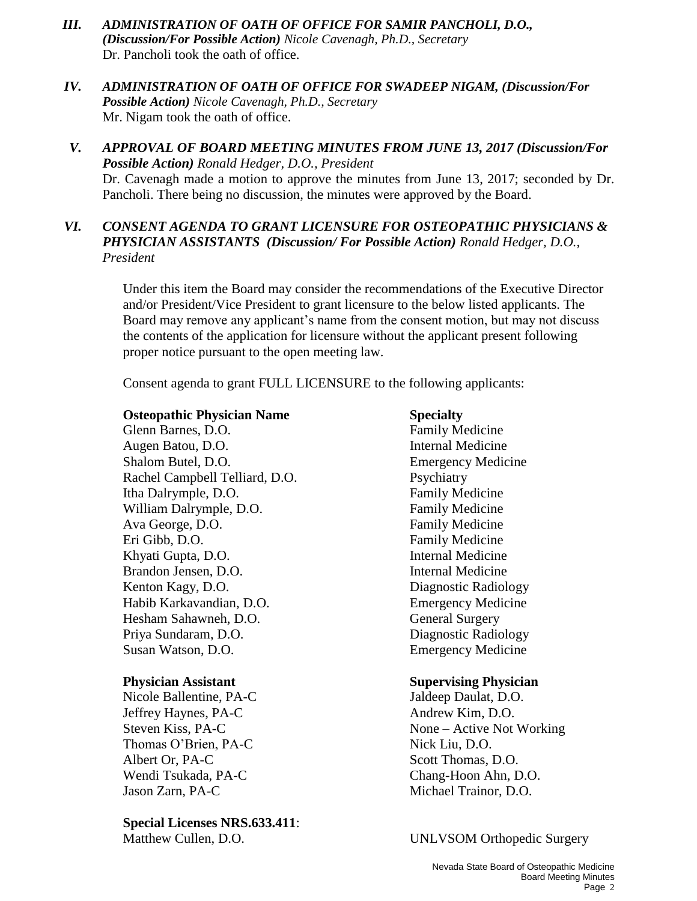- *III. ADMINISTRATION OF OATH OF OFFICE FOR SAMIR PANCHOLI, D.O., (Discussion/For Possible Action) Nicole Cavenagh, Ph.D., Secretary*  Dr. Pancholi took the oath of office.
- *IV. ADMINISTRATION OF OATH OF OFFICE FOR SWADEEP NIGAM, (Discussion/For Possible Action) Nicole Cavenagh, Ph.D., Secretary*  Mr. Nigam took the oath of office.
- *V. APPROVAL OF BOARD MEETING MINUTES FROM JUNE 13, 2017 (Discussion/For Possible Action) Ronald Hedger, D.O., President* Dr. Cavenagh made a motion to approve the minutes from June 13, 2017; seconded by Dr. Pancholi. There being no discussion, the minutes were approved by the Board.
- *VI. CONSENT AGENDA TO GRANT LICENSURE FOR OSTEOPATHIC PHYSICIANS & PHYSICIAN ASSISTANTS (Discussion/ For Possible Action) Ronald Hedger, D.O., President*

Under this item the Board may consider the recommendations of the Executive Director and/or President/Vice President to grant licensure to the below listed applicants. The Board may remove any applicant's name from the consent motion, but may not discuss the contents of the application for licensure without the applicant present following proper notice pursuant to the open meeting law.

Consent agenda to grant FULL LICENSURE to the following applicants:

#### **Osteopathic Physician Name Specialty**

Glenn Barnes, D.O. **Family Medicine** Augen Batou, D.O. **Internal Medicine** Shalom Butel, D.O. **Emergency Medicine** Rachel Campbell Telliard, D.O. Psychiatry Itha Dalrymple, D.O. **Family Medicine** William Dalrymple, D.O. Family Medicine Ava George, D.O. Family Medicine Eri Gibb, D.O. Family Medicine Khyati Gupta, D.O. **Internal Medicine** Brandon Jensen, D.O. **Internal Medicine** Kenton Kagy, D.O. Diagnostic Radiology Habib Karkavandian, D.O. Emergency Medicine Hesham Sahawneh, D.O. General Surgery Priya Sundaram, D.O. Diagnostic Radiology Susan Watson, D.O. Emergency Medicine

Nicole Ballentine, PA-C Jaldeep Daulat, D.O. Jeffrey Haynes, PA-C Andrew Kim, D.O. Thomas O'Brien, PA-C Nick Liu, D.O. Albert Or, PA-C Scott Thomas, D.O. Wendi Tsukada, PA-C<br>
Chang-Hoon Ahn, D.O. Jason Zarn, PA-C Michael Trainor, D.O.

**Special Licenses NRS.633.411**: Matthew Cullen, D.O. UNLVSOM Orthopedic Surgery

#### **Physician Assistant Supervising Physician**

Steven Kiss, PA-C None – Active Not Working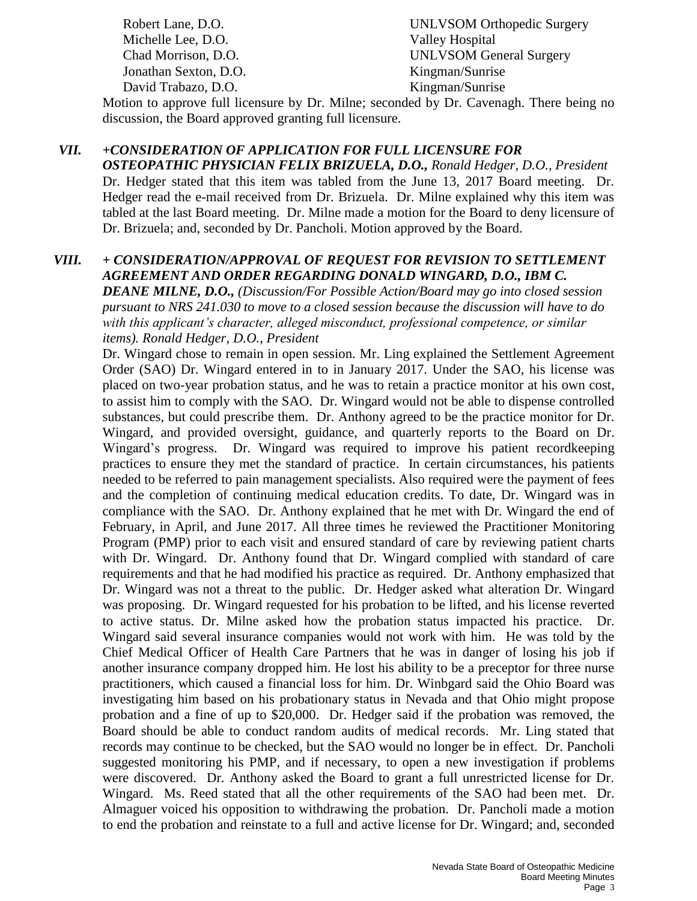Michelle Lee, D.O. Valley Hospital Jonathan Sexton, D.O. Kingman/Sunrise David Trabazo, D.O. Kingman/Sunrise

Robert Lane, D.O. UNLVSOM Orthopedic Surgery Chad Morrison, D.O. UNLVSOM General Surgery

Motion to approve full licensure by Dr. Milne; seconded by Dr. Cavenagh. There being no discussion, the Board approved granting full licensure.

# *VII. +CONSIDERATION OF APPLICATION FOR FULL LICENSURE FOR*

*OSTEOPATHIC PHYSICIAN FELIX BRIZUELA, D.O., Ronald Hedger, D.O., President* Dr. Hedger stated that this item was tabled from the June 13, 2017 Board meeting. Dr. Hedger read the e-mail received from Dr. Brizuela. Dr. Milne explained why this item was tabled at the last Board meeting. Dr. Milne made a motion for the Board to deny licensure of Dr. Brizuela; and, seconded by Dr. Pancholi. Motion approved by the Board.

#### *VIII. + CONSIDERATION/APPROVAL OF REQUEST FOR REVISION TO SETTLEMENT AGREEMENT AND ORDER REGARDING DONALD WINGARD, D.O., IBM C.*

*DEANE MILNE, D.O., (Discussion/For Possible Action/Board may go into closed session pursuant to NRS 241.030 to move to a closed session because the discussion will have to do with this applicant's character, alleged misconduct, professional competence, or similar items). Ronald Hedger, D.O., President*

Dr. Wingard chose to remain in open session. Mr. Ling explained the Settlement Agreement Order (SAO) Dr. Wingard entered in to in January 2017. Under the SAO, his license was placed on two-year probation status, and he was to retain a practice monitor at his own cost, to assist him to comply with the SAO. Dr. Wingard would not be able to dispense controlled substances, but could prescribe them. Dr. Anthony agreed to be the practice monitor for Dr. Wingard, and provided oversight, guidance, and quarterly reports to the Board on Dr. Wingard's progress. Dr. Wingard was required to improve his patient recordkeeping practices to ensure they met the standard of practice. In certain circumstances, his patients needed to be referred to pain management specialists. Also required were the payment of fees and the completion of continuing medical education credits. To date, Dr. Wingard was in compliance with the SAO. Dr. Anthony explained that he met with Dr. Wingard the end of February, in April, and June 2017. All three times he reviewed the Practitioner Monitoring Program (PMP) prior to each visit and ensured standard of care by reviewing patient charts with Dr. Wingard. Dr. Anthony found that Dr. Wingard complied with standard of care requirements and that he had modified his practice as required. Dr. Anthony emphasized that Dr. Wingard was not a threat to the public. Dr. Hedger asked what alteration Dr. Wingard was proposing. Dr. Wingard requested for his probation to be lifted, and his license reverted to active status. Dr. Milne asked how the probation status impacted his practice. Dr. Wingard said several insurance companies would not work with him. He was told by the Chief Medical Officer of Health Care Partners that he was in danger of losing his job if another insurance company dropped him. He lost his ability to be a preceptor for three nurse practitioners, which caused a financial loss for him. Dr. Winbgard said the Ohio Board was investigating him based on his probationary status in Nevada and that Ohio might propose probation and a fine of up to \$20,000. Dr. Hedger said if the probation was removed, the Board should be able to conduct random audits of medical records. Mr. Ling stated that records may continue to be checked, but the SAO would no longer be in effect. Dr. Pancholi suggested monitoring his PMP, and if necessary, to open a new investigation if problems were discovered. Dr. Anthony asked the Board to grant a full unrestricted license for Dr. Wingard. Ms. Reed stated that all the other requirements of the SAO had been met. Dr. Almaguer voiced his opposition to withdrawing the probation. Dr. Pancholi made a motion to end the probation and reinstate to a full and active license for Dr. Wingard; and, seconded